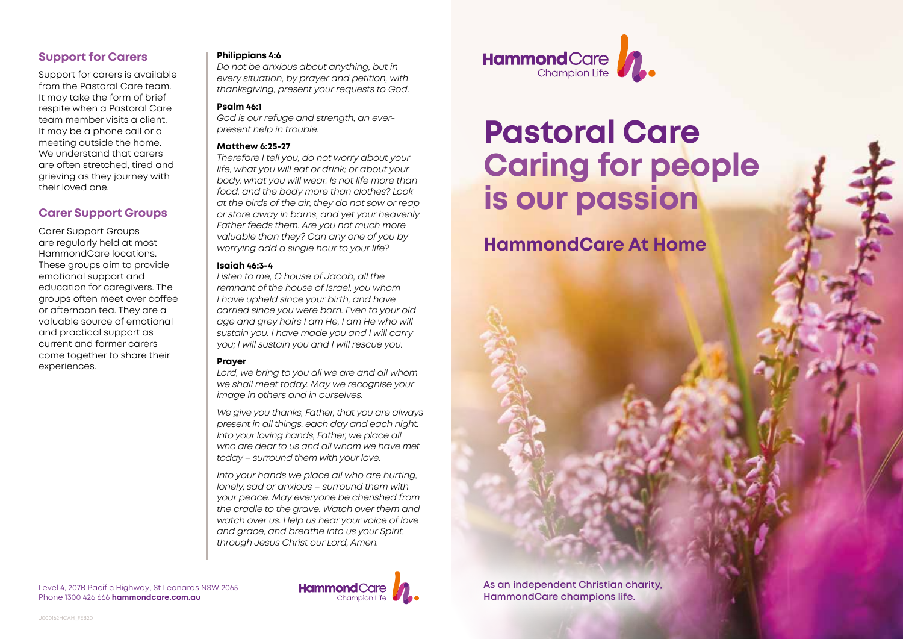# **Support for Carers**

Support for carers is available from the Pastoral Care team. It may take the form of brief respite when a Pastoral Care team member visits a client. It may be a phone call or a meeting outside the home. We understand that carers are often stretched, tired and grieving as they journey with their loved one.

### **Carer Support Groups**

Carer Support Groups are regularly held at most HammondCare locations. These groups aim to provide emotional support and education for caregivers. The groups often meet over coffee or afternoon tea. They are a valuable source of emotional and practical support as current and former carers come together to share their experiences.

#### **Philippians 4:6**

*Do not be anxious about anything, but in every situation, by prayer and petition, with thanksgiving, present your requests to God*.

### **Psalm 46:1**

*God is our refuge and strength, an everpresent help in trouble.*

### **Matthew 6:25-27**

*Therefore I tell you, do not worry about your life, what you will eat or drink; or about your body, what you will wear. Is not life more than food, and the body more than clothes? Look at the birds of the air; they do not sow or reap or store away in barns, and yet your heavenly Father feeds them. Are you not much more valuable than they? Can any one of you by worrying add a single hour to your life?*

### **Isaiah 46:3-4**

*Listen to me, O house of Jacob, all the remnant of the house of Israel, you whom I have upheld since your birth, and have carried since you were born. Even to your old age and grey hairs I am He, I am He who will sustain you. I have made you and I will carry you; I will sustain you and I will rescue you.* 

### **Prayer**

*Lord, we bring to you all we are and all whom we shall meet today. May we recognise your image in others and in ourselves.* 

*We give you thanks, Father, that you are always present in all things, each day and each night. Into your loving hands, Father, we place all who are dear to us and all whom we have met today – surround them with your love.* 

*Into your hands we place all who are hurting, lonely, sad or anxious – surround them with your peace. May everyone be cherished from the cradle to the grave. Watch over them and watch over us. Help us hear your voice of love and grace, and breathe into us your Spirit, through Jesus Christ our Lord, Amen.* 



# **Pastoral Care Caring for people is our passion**

# **HammondCare At Home**

**As an independent Christian charity, HammondCare champions life.**

Level 4, 207B Pacific Highway, St Leonards NSW 2065 Phone 1300 426 666 **hammondcare.com.au**